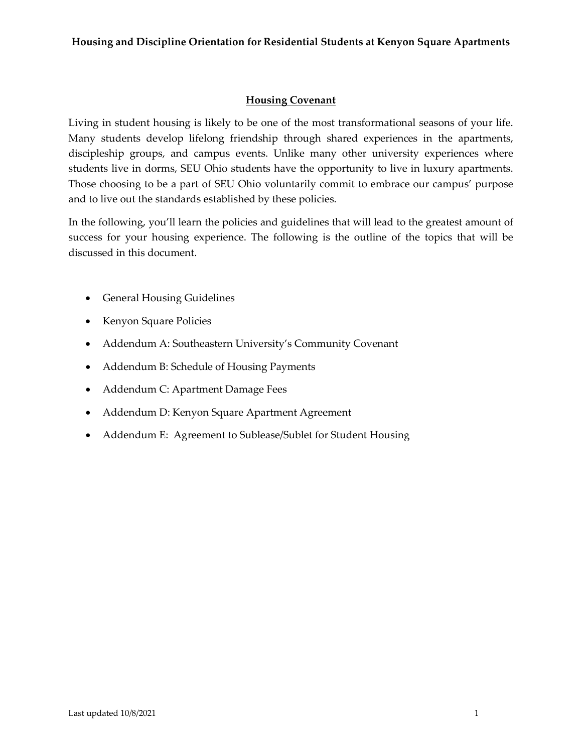#### **Housing and Discipline Orientation for Residential Students at Kenyon Square Apartments**

#### **Housing Covenant**

Living in student housing is likely to be one of the most transformational seasons of your life. Many students develop lifelong friendship through shared experiences in the apartments, discipleship groups, and campus events. Unlike many other university experiences where students live in dorms, SEU Ohio students have the opportunity to live in luxury apartments. Those choosing to be a part of SEU Ohio voluntarily commit to embrace our campus' purpose and to live out the standards established by these policies.

In the following, you'll learn the policies and guidelines that will lead to the greatest amount of success for your housing experience. The following is the outline of the topics that will be discussed in this document.

- General Housing Guidelines
- Kenyon Square Policies
- Addendum A: Southeastern University's Community Covenant
- Addendum B: Schedule of Housing Payments
- Addendum C: Apartment Damage Fees
- Addendum D: Kenyon Square Apartment Agreement
- Addendum E: Agreement to Sublease/Sublet for Student Housing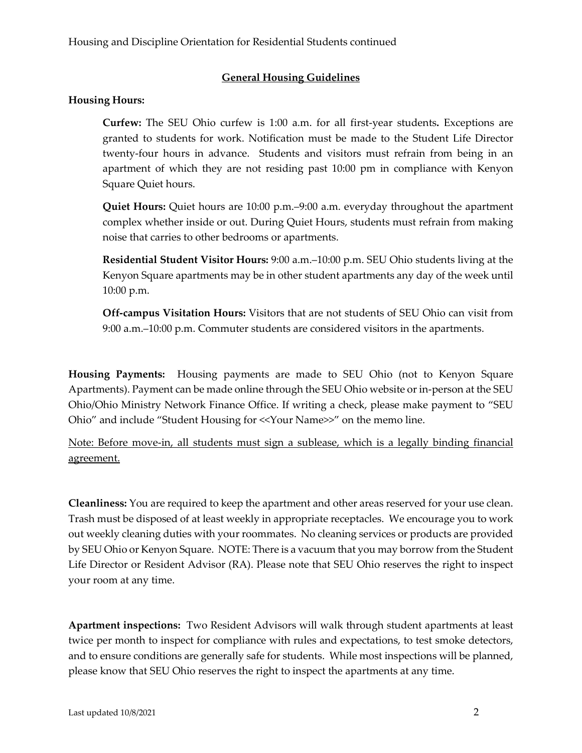### **General Housing Guidelines**

#### **Housing Hours:**

**Curfew:** The SEU Ohio curfew is 1:00 a.m. for all first-year students**.** Exceptions are granted to students for work. Notification must be made to the Student Life Director twenty-four hours in advance. Students and visitors must refrain from being in an apartment of which they are not residing past 10:00 pm in compliance with Kenyon Square Quiet hours.

**Quiet Hours:** Quiet hours are 10:00 p.m.–9:00 a.m. everyday throughout the apartment complex whether inside or out. During Quiet Hours, students must refrain from making noise that carries to other bedrooms or apartments.

**Residential Student Visitor Hours:** 9:00 a.m.–10:00 p.m. SEU Ohio students living at the Kenyon Square apartments may be in other student apartments any day of the week until 10:00 p.m.

**Off-campus Visitation Hours:** Visitors that are not students of SEU Ohio can visit from 9:00 a.m.–10:00 p.m. Commuter students are considered visitors in the apartments.

**Housing Payments:** Housing payments are made to SEU Ohio (not to Kenyon Square Apartments). Payment can be made online through the SEU Ohio website or in-person at the SEU Ohio/Ohio Ministry Network Finance Office. If writing a check, please make payment to "SEU Ohio" and include "Student Housing for <<Your Name>>" on the memo line.

Note: Before move-in, all students must sign a sublease, which is a legally binding financial agreement.

**Cleanliness:** You are required to keep the apartment and other areas reserved for your use clean. Trash must be disposed of at least weekly in appropriate receptacles. We encourage you to work out weekly cleaning duties with your roommates. No cleaning services or products are provided by SEU Ohio or Kenyon Square. NOTE: There is a vacuum that you may borrow from the Student Life Director or Resident Advisor (RA). Please note that SEU Ohio reserves the right to inspect your room at any time.

**Apartment inspections:** Two Resident Advisors will walk through student apartments at least twice per month to inspect for compliance with rules and expectations, to test smoke detectors, and to ensure conditions are generally safe for students. While most inspections will be planned, please know that SEU Ohio reserves the right to inspect the apartments at any time.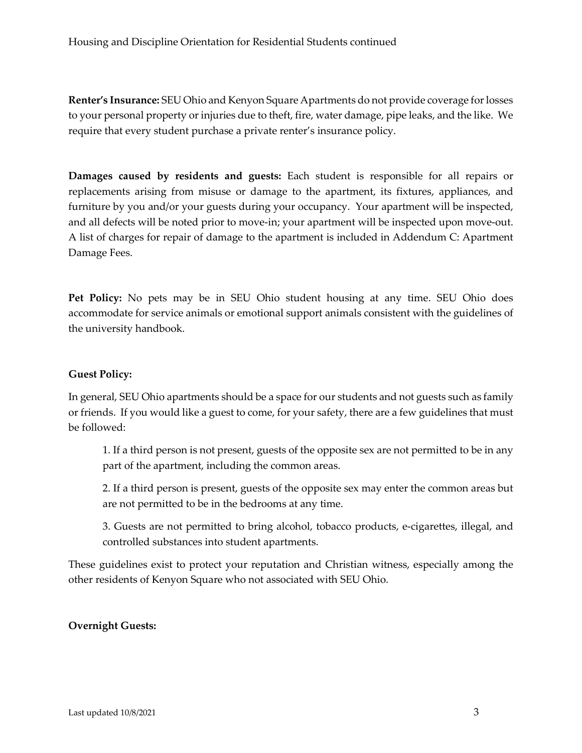**Renter's Insurance:** SEU Ohio and Kenyon Square Apartments do not provide coverage for losses to your personal property or injuries due to theft, fire, water damage, pipe leaks, and the like. We require that every student purchase a private renter's insurance policy.

**Damages caused by residents and guests:** Each student is responsible for all repairs or replacements arising from misuse or damage to the apartment, its fixtures, appliances, and furniture by you and/or your guests during your occupancy. Your apartment will be inspected, and all defects will be noted prior to move-in; your apartment will be inspected upon move-out. A list of charges for repair of damage to the apartment is included in Addendum C: Apartment Damage Fees.

**Pet Policy:** No pets may be in SEU Ohio student housing at any time. SEU Ohio does accommodate for service animals or emotional support animals consistent with the guidelines of the university handbook.

### **Guest Policy:**

In general, SEU Ohio apartments should be a space for our students and not guests such as family or friends. If you would like a guest to come, for your safety, there are a few guidelines that must be followed:

1. If a third person is not present, guests of the opposite sex are not permitted to be in any part of the apartment, including the common areas.

2. If a third person is present, guests of the opposite sex may enter the common areas but are not permitted to be in the bedrooms at any time.

3. Guests are not permitted to bring alcohol, tobacco products, e-cigarettes, illegal, and controlled substances into student apartments.

These guidelines exist to protect your reputation and Christian witness, especially among the other residents of Kenyon Square who not associated with SEU Ohio.

#### **Overnight Guests:**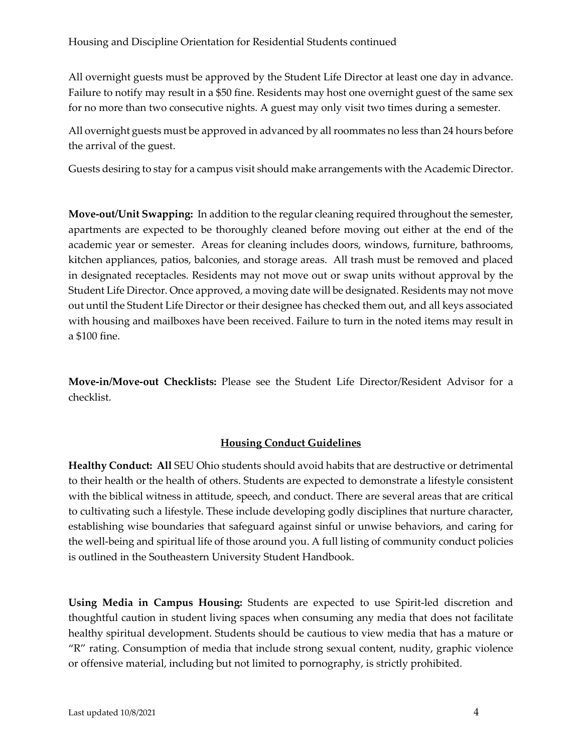All overnight guests must be approved by the Student Life Director at least one day in advance. Failure to notify may result in a \$50 fine. Residents may host one overnight guest of the same sex for no more than two consecutive nights. A guest may only visit two times during a semester.

All overnight guests must be approved in advanced by all roommates no less than 24 hours before the arrival of the guest.

Guests desiring to stay for a campus visit should make arrangements with the Academic Director.

**Move-out/Unit Swapping:** In addition to the regular cleaning required throughout the semester, apartments are expected to be thoroughly cleaned before moving out either at the end of the academic year or semester. Areas for cleaning includes doors, windows, furniture, bathrooms, kitchen appliances, patios, balconies, and storage areas. All trash must be removed and placed in designated receptacles. Residents may not move out or swap units without approval by the Student Life Director. Once approved, a moving date will be designated. Residents may not move out until the Student Life Director or their designee has checked them out, and all keys associated with housing and mailboxes have been received. Failure to turn in the noted items may result in a \$100 fine.

**Move-in/Move-out Checklists:** Please see the Student Life Director/Resident Advisor for a checklist.

### **Housing Conduct Guidelines**

**Healthy Conduct: All** SEU Ohio students should avoid habits that are destructive or detrimental to their health or the health of others. Students are expected to demonstrate a lifestyle consistent with the biblical witness in attitude, speech, and conduct. There are several areas that are critical to cultivating such a lifestyle. These include developing godly disciplines that nurture character, establishing wise boundaries that safeguard against sinful or unwise behaviors, and caring for the well-being and spiritual life of those around you. A full listing of community conduct policies is outlined in the Southeastern University Student Handbook.

**Using Media in Campus Housing:** Students are expected to use Spirit-led discretion and thoughtful caution in student living spaces when consuming any media that does not facilitate healthy spiritual development. Students should be cautious to view media that has a mature or "R" rating. Consumption of media that include strong sexual content, nudity, graphic violence or offensive material, including but not limited to pornography, is strictly prohibited.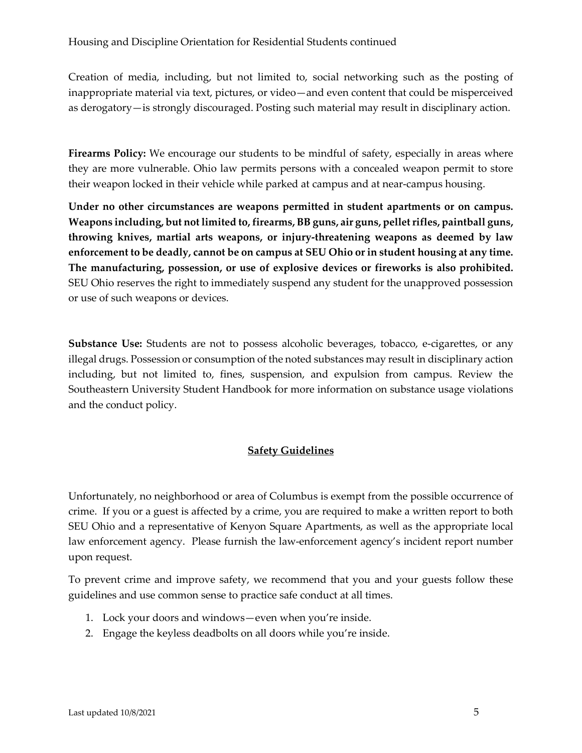Creation of media, including, but not limited to, social networking such as the posting of inappropriate material via text, pictures, or video—and even content that could be misperceived as derogatory—is strongly discouraged. Posting such material may result in disciplinary action.

**Firearms Policy:** We encourage our students to be mindful of safety, especially in areas where they are more vulnerable. Ohio law permits persons with a concealed weapon permit to store their weapon locked in their vehicle while parked at campus and at near-campus housing.

**Under no other circumstances are weapons permitted in student apartments or on campus. Weapons including, but not limited to, firearms, BB guns, air guns, pellet rifles, paintball guns, throwing knives, martial arts weapons, or injury-threatening weapons as deemed by law enforcement to be deadly, cannot be on campus at SEU Ohio or in student housing at any time. The manufacturing, possession, or use of explosive devices or fireworks is also prohibited.** SEU Ohio reserves the right to immediately suspend any student for the unapproved possession or use of such weapons or devices.

**Substance Use:** Students are not to possess alcoholic beverages, tobacco, e-cigarettes, or any illegal drugs. Possession or consumption of the noted substances may result in disciplinary action including, but not limited to, fines, suspension, and expulsion from campus. Review the Southeastern University Student Handbook for more information on substance usage violations and the conduct policy.

### **Safety Guidelines**

Unfortunately, no neighborhood or area of Columbus is exempt from the possible occurrence of crime. If you or a guest is affected by a crime, you are required to make a written report to both SEU Ohio and a representative of Kenyon Square Apartments, as well as the appropriate local law enforcement agency. Please furnish the law-enforcement agency's incident report number upon request.

To prevent crime and improve safety, we recommend that you and your guests follow these guidelines and use common sense to practice safe conduct at all times.

- 1. Lock your doors and windows—even when you're inside.
- 2. Engage the keyless deadbolts on all doors while you're inside.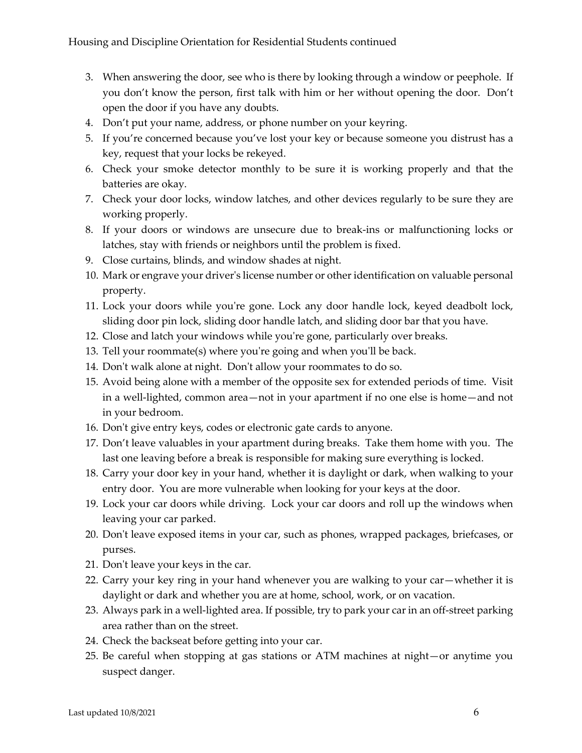- 3. When answering the door, see who is there by looking through a window or peephole. If you don't know the person, first talk with him or her without opening the door. Don't open the door if you have any doubts.
- 4. Don't put your name, address, or phone number on your keyring.
- 5. If you're concerned because you've lost your key or because someone you distrust has a key, request that your locks be rekeyed.
- 6. Check your smoke detector monthly to be sure it is working properly and that the batteries are okay.
- 7. Check your door locks, window latches, and other devices regularly to be sure they are working properly.
- 8. If your doors or windows are unsecure due to break-ins or malfunctioning locks or latches, stay with friends or neighbors until the problem is fixed.
- 9. Close curtains, blinds, and window shades at night.
- 10. Mark or engrave your driver's license number or other identification on valuable personal property.
- 11. Lock your doors while you're gone. Lock any door handle lock, keyed deadbolt lock, sliding door pin lock, sliding door handle latch, and sliding door bar that you have.
- 12. Close and latch your windows while you're gone, particularly over breaks.
- 13. Tell your roommate(s) where you're going and when you'll be back.
- 14. Don't walk alone at night. Don't allow your roommates to do so.
- 15. Avoid being alone with a member of the opposite sex for extended periods of time. Visit in a well-lighted, common area—not in your apartment if no one else is home—and not in your bedroom.
- 16. Don't give entry keys, codes or electronic gate cards to anyone.
- 17. Don't leave valuables in your apartment during breaks. Take them home with you. The last one leaving before a break is responsible for making sure everything is locked.
- 18. Carry your door key in your hand, whether it is daylight or dark, when walking to your entry door. You are more vulnerable when looking for your keys at the door.
- 19. Lock your car doors while driving. Lock your car doors and roll up the windows when leaving your car parked.
- 20. Don't leave exposed items in your car, such as phones, wrapped packages, briefcases, or purses.
- 21. Don't leave your keys in the car.
- 22. Carry your key ring in your hand whenever you are walking to your car—whether it is daylight or dark and whether you are at home, school, work, or on vacation.
- 23. Always park in a well-lighted area. If possible, try to park your car in an off-street parking area rather than on the street.
- 24. Check the backseat before getting into your car.
- 25. Be careful when stopping at gas stations or ATM machines at night—or anytime you suspect danger.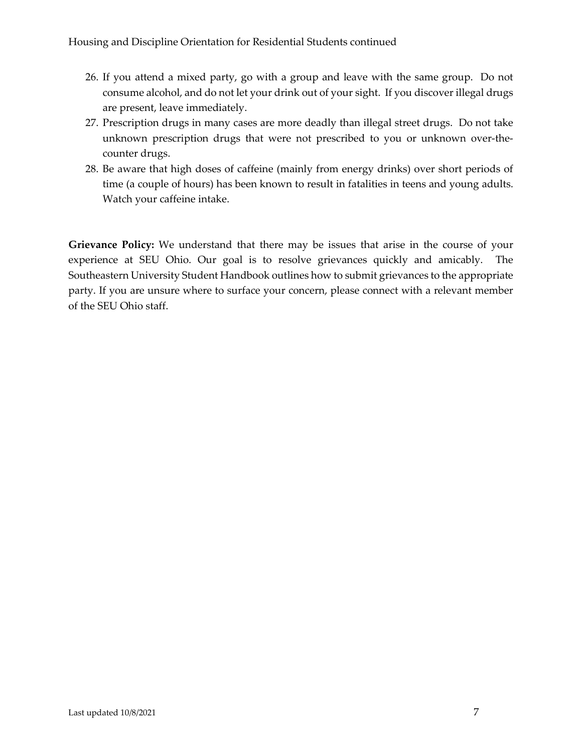- 26. If you attend a mixed party, go with a group and leave with the same group. Do not consume alcohol, and do not let your drink out of your sight. If you discover illegal drugs are present, leave immediately.
- 27. Prescription drugs in many cases are more deadly than illegal street drugs. Do not take unknown prescription drugs that were not prescribed to you or unknown over-thecounter drugs.
- 28. Be aware that high doses of caffeine (mainly from energy drinks) over short periods of time (a couple of hours) has been known to result in fatalities in teens and young adults. Watch your caffeine intake.

**Grievance Policy:** We understand that there may be issues that arise in the course of your experience at SEU Ohio. Our goal is to resolve grievances quickly and amicably. The Southeastern University Student Handbook outlines how to submit grievances to the appropriate party. If you are unsure where to surface your concern, please connect with a relevant member of the SEU Ohio staff.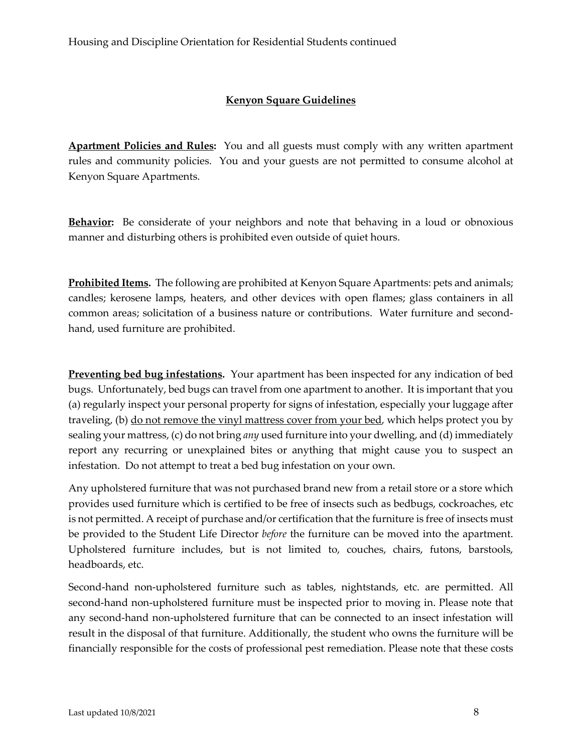## **Kenyon Square Guidelines**

**Apartment Policies and Rules:** You and all guests must comply with any written apartment rules and community policies. You and your guests are not permitted to consume alcohol at Kenyon Square Apartments.

**Behavior:** Be considerate of your neighbors and note that behaving in a loud or obnoxious manner and disturbing others is prohibited even outside of quiet hours.

**Prohibited Items.** The following are prohibited at Kenyon Square Apartments: pets and animals; candles; kerosene lamps, heaters, and other devices with open flames; glass containers in all common areas; solicitation of a business nature or contributions. Water furniture and secondhand, used furniture are prohibited.

**Preventing bed bug infestations.** Your apartment has been inspected for any indication of bed bugs. Unfortunately, bed bugs can travel from one apartment to another. It is important that you (a) regularly inspect your personal property for signs of infestation, especially your luggage after traveling, (b) do not remove the vinyl mattress cover from your bed, which helps protect you by sealing your mattress, (c) do not bring *any* used furniture into your dwelling, and (d) immediately report any recurring or unexplained bites or anything that might cause you to suspect an infestation. Do not attempt to treat a bed bug infestation on your own.

Any upholstered furniture that was not purchased brand new from a retail store or a store which provides used furniture which is certified to be free of insects such as bedbugs, cockroaches, etc is not permitted. A receipt of purchase and/or certification that the furniture is free of insects must be provided to the Student Life Director *before* the furniture can be moved into the apartment. Upholstered furniture includes, but is not limited to, couches, chairs, futons, barstools, headboards, etc.

Second-hand non-upholstered furniture such as tables, nightstands, etc. are permitted. All second-hand non-upholstered furniture must be inspected prior to moving in. Please note that any second-hand non-upholstered furniture that can be connected to an insect infestation will result in the disposal of that furniture. Additionally, the student who owns the furniture will be financially responsible for the costs of professional pest remediation. Please note that these costs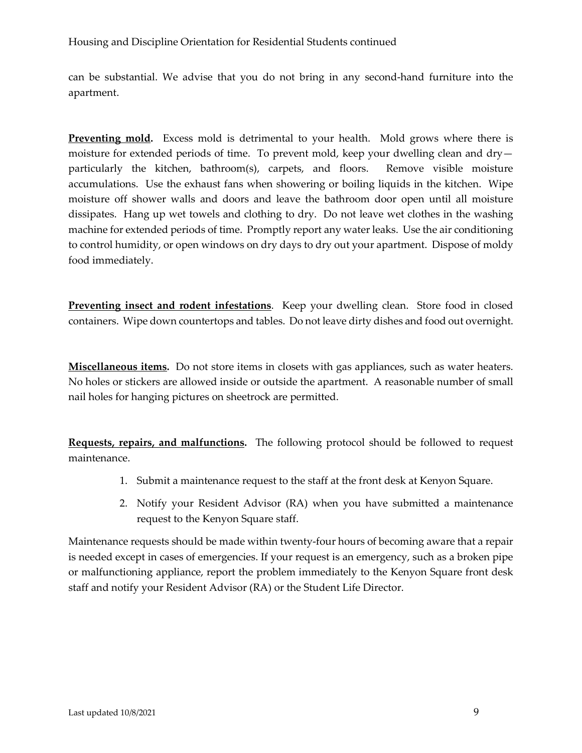#### Housing and Discipline Orientation for Residential Students continued

can be substantial. We advise that you do not bring in any second-hand furniture into the apartment.

**Preventing mold.** Excess mold is detrimental to your health. Mold grows where there is moisture for extended periods of time. To prevent mold, keep your dwelling clean and dry particularly the kitchen, bathroom(s), carpets, and floors. Remove visible moisture accumulations. Use the exhaust fans when showering or boiling liquids in the kitchen. Wipe moisture off shower walls and doors and leave the bathroom door open until all moisture dissipates. Hang up wet towels and clothing to dry. Do not leave wet clothes in the washing machine for extended periods of time. Promptly report any water leaks. Use the air conditioning to control humidity, or open windows on dry days to dry out your apartment. Dispose of moldy food immediately.

**Preventing insect and rodent infestations**. Keep your dwelling clean. Store food in closed containers. Wipe down countertops and tables. Do not leave dirty dishes and food out overnight.

**Miscellaneous items.** Do not store items in closets with gas appliances, such as water heaters. No holes or stickers are allowed inside or outside the apartment. A reasonable number of small nail holes for hanging pictures on sheetrock are permitted.

**Requests, repairs, and malfunctions.** The following protocol should be followed to request maintenance.

- 1. Submit a maintenance request to the staff at the front desk at Kenyon Square.
- 2. Notify your Resident Advisor (RA) when you have submitted a maintenance request to the Kenyon Square staff.

Maintenance requests should be made within twenty-four hours of becoming aware that a repair is needed except in cases of emergencies. If your request is an emergency, such as a broken pipe or malfunctioning appliance, report the problem immediately to the Kenyon Square front desk staff and notify your Resident Advisor (RA) or the Student Life Director.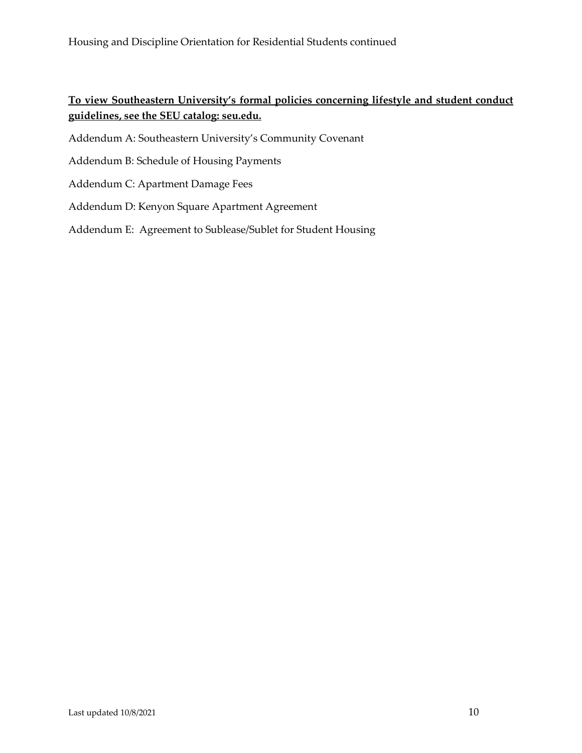# **To view Southeastern University's formal policies concerning lifestyle and student conduct guidelines, see the SEU catalog: seu.edu.**

- Addendum A: Southeastern University's Community Covenant
- Addendum B: Schedule of Housing Payments
- Addendum C: Apartment Damage Fees
- Addendum D: Kenyon Square Apartment Agreement
- Addendum E: Agreement to Sublease/Sublet for Student Housing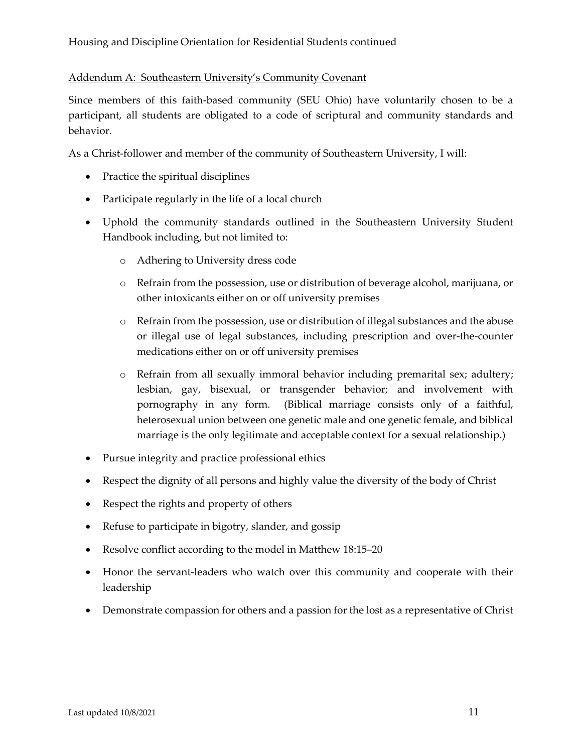### Addendum A: Southeastern University's Community Covenant

Since members of this faith-based community (SEU Ohio) have voluntarily chosen to be a participant, all students are obligated to a code of scriptural and community standards and behavior.

As a Christ-follower and member of the community of Southeastern University, I will:

- Practice the spiritual disciplines
- Participate regularly in the life of a local church
- Uphold the community standards outlined in the Southeastern University Student Handbook including, but not limited to:
	- o Adhering to University dress code
	- o Refrain from the possession, use or distribution of beverage alcohol, marijuana, or other intoxicants either on or off university premises
	- o Refrain from the possession, use or distribution of illegal substances and the abuse or illegal use of legal substances, including prescription and over-the-counter medications either on or off university premises
	- o Refrain from all sexually immoral behavior including premarital sex; adultery; lesbian, gay, bisexual, or transgender behavior; and involvement with pornography in any form. (Biblical marriage consists only of a faithful, heterosexual union between one genetic male and one genetic female, and biblical marriage is the only legitimate and acceptable context for a sexual relationship.)
- Pursue integrity and practice professional ethics
- Respect the dignity of all persons and highly value the diversity of the body of Christ
- Respect the rights and property of others
- Refuse to participate in bigotry, slander, and gossip
- Resolve conflict according to the model in Matthew 18:15–20
- Honor the servant-leaders who watch over this community and cooperate with their leadership
- Demonstrate compassion for others and a passion for the lost as a representative of Christ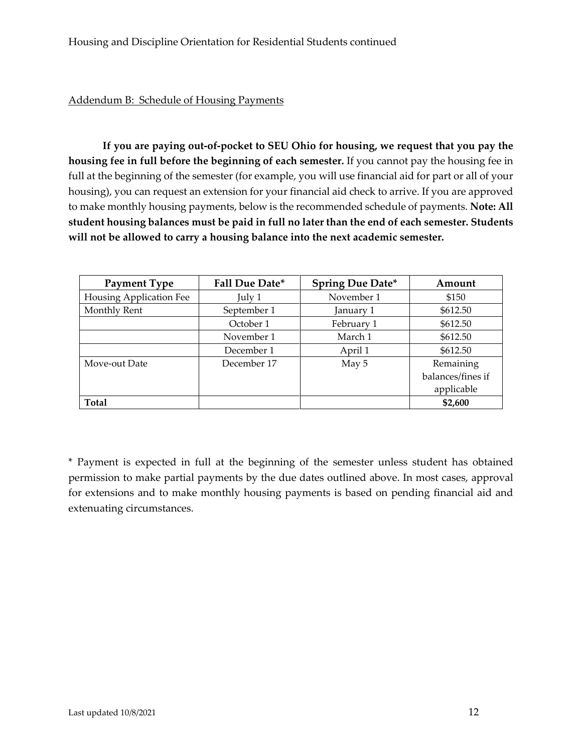#### Addendum B: Schedule of Housing Payments

**If you are paying out-of-pocket to SEU Ohio for housing, we request that you pay the housing fee in full before the beginning of each semester.** If you cannot pay the housing fee in full at the beginning of the semester (for example, you will use financial aid for part or all of your housing), you can request an extension for your financial aid check to arrive. If you are approved to make monthly housing payments, below is the recommended schedule of payments. **Note: All student housing balances must be paid in full no later than the end of each semester. Students will not be allowed to carry a housing balance into the next academic semester.** 

| <b>Payment Type</b>     | Fall Due Date* | <b>Spring Due Date*</b> | Amount            |
|-------------------------|----------------|-------------------------|-------------------|
| Housing Application Fee | July 1         | November 1              | \$150             |
| Monthly Rent            | September 1    | January 1               | \$612.50          |
|                         | October 1      | February 1              | \$612.50          |
|                         | November 1     | March 1                 | \$612.50          |
|                         | December 1     | April 1                 | \$612.50          |
| Move-out Date           | December 17    | May 5                   | Remaining         |
|                         |                |                         | balances/fines if |
|                         |                |                         | applicable        |
| <b>Total</b>            |                |                         | \$2,600           |

\* Payment is expected in full at the beginning of the semester unless student has obtained permission to make partial payments by the due dates outlined above. In most cases, approval for extensions and to make monthly housing payments is based on pending financial aid and extenuating circumstances.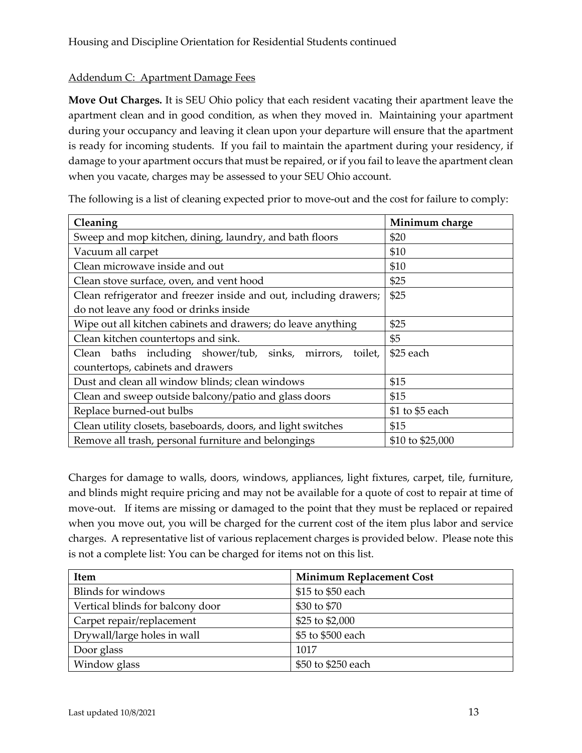### Addendum C: Apartment Damage Fees

**Move Out Charges.** It is SEU Ohio policy that each resident vacating their apartment leave the apartment clean and in good condition, as when they moved in. Maintaining your apartment during your occupancy and leaving it clean upon your departure will ensure that the apartment is ready for incoming students. If you fail to maintain the apartment during your residency, if damage to your apartment occurs that must be repaired, or if you fail to leave the apartment clean when you vacate, charges may be assessed to your SEU Ohio account.

| Cleaning                                                          | Minimum charge   |
|-------------------------------------------------------------------|------------------|
| Sweep and mop kitchen, dining, laundry, and bath floors           | \$20             |
| Vacuum all carpet                                                 | \$10             |
| Clean microwave inside and out                                    | \$10             |
| Clean stove surface, oven, and vent hood                          | \$25             |
| Clean refrigerator and freezer inside and out, including drawers; | \$25             |
| do not leave any food or drinks inside                            |                  |
| Wipe out all kitchen cabinets and drawers; do leave anything      | \$25             |
| Clean kitchen countertops and sink.                               | \$5              |
| Clean baths including shower/tub, sinks, mirrors,<br>toilet,      | \$25 each        |
| countertops, cabinets and drawers                                 |                  |
| Dust and clean all window blinds; clean windows                   | \$15             |
| Clean and sweep outside balcony/patio and glass doors             | \$15             |
| Replace burned-out bulbs                                          | \$1 to \$5 each  |
| Clean utility closets, baseboards, doors, and light switches      | \$15             |
| Remove all trash, personal furniture and belongings               | \$10 to \$25,000 |

The following is a list of cleaning expected prior to move-out and the cost for failure to comply:

Charges for damage to walls, doors, windows, appliances, light fixtures, carpet, tile, furniture, and blinds might require pricing and may not be available for a quote of cost to repair at time of move-out. If items are missing or damaged to the point that they must be replaced or repaired when you move out, you will be charged for the current cost of the item plus labor and service charges. A representative list of various replacement charges is provided below. Please note this is not a complete list: You can be charged for items not on this list.

| Item                             | <b>Minimum Replacement Cost</b> |
|----------------------------------|---------------------------------|
| Blinds for windows               | \$15 to \$50 each               |
| Vertical blinds for balcony door | \$30 to \$70                    |
| Carpet repair/replacement        | \$25 to \$2,000                 |
| Drywall/large holes in wall      | \$5 to \$500 each               |
| Door glass                       | 1017                            |
| Window glass                     | \$50 to \$250 each              |